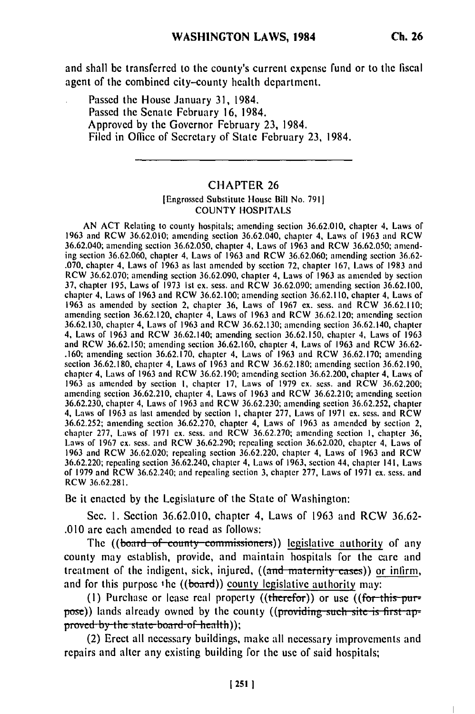and shall be transferred to the county's current expense fund or to **the** fiscal agent of the combined city-county health department.

Passed the House January **31,** 1984. Passed **the** Senate February **16,** 1984. Approved **by** the Governor February **23,** 1984. Filed in Office of Secretary of State February **23,** 1984.

## CHAPTER 26

## [Engrossed Substitute House Bill No. 791] COUNTY HOSPITALS

AN ACT Relating to county hospitals; amending section 36.62.010, chapter 4. Laws of 1963 and RCW 36.62.010; amending section 36.62.040, chapter 4, Laws of 1963 and RCW 36.62.040; amending section 36.62.050, chapter 4, Laws of 1963 and RCW 36.62.050; amending section 36.62.060, chapter 4, Laws of 1963 and RCW 36.62.060; amending section 36.62- .070, chapter 4, Laws of 1963 as last amended by section **72,** chapter 167, Laws of 1983 and 0.070, chapter 4, Laws of 1963 as last amended by section 72, chapter 167, Laws of 1983 and RCW 36.62.070; amending section 36.62.090, chapter 4, Laws of 1963 as amended by section 37, chapter 195, Laws of 1973 Ist ex. sess. and RCW 36.62.090; amending section 36.62.100, chapter 4, Laws of 1963 and RCW 36.62.100; amending section 36.62.110, chapter 4, Laws of 1963 as amended by section 2, chapter 36, Laws of 1967 ex. sess. and RCW 36.62.110; amending section 36.62.120, chapter 4, Laws of 1963 and RCW 36.62.120; amending section 36.62.130, chapter 4, Laws of 1963 and RCW 36.62.130; amending section 36.62.140, chapter 36.62.130, chapter 4, Laws of 1963 and RCW 36.62.130; amending section 36.62.140, chapter 4, Laws of 1963 and RCW 36.62.140; amending section 36.62.150, chapter 4, Laws of 1963 and RCW 36.62.150; amending section 36.62.160, chapter 4, Laws of 1963 and RCW 36.62- .160; amending section 36.62.170, chapter 4, Laws of 1963 and RCW 36.62.170; amending section 36.62.180, chapter 4, Laws of 1963 and RCW 36.62.180; amending section 36.62.190, chapter 4, Laws of 1963 and RCW 36.62.190; amending section 36.62.200, chapter 4, Laws of 1963 as amended by section I, chapter 17, Laws of 1979 ex. sess. and RCW 36.62.200; amending section 36.62.210, chapter 4, Laws of 1963 and RCW 36.62.210; amending section 36.62.210; amending section 36.62.230; amending section 36.62.252, chapter 4, Laws of 1963 and RCW 36.62.210; amending section 4, Laws of 1963 as last amended by section **1,** chapter 277, Laws of 1971 ex. sess. and RCW 36.62.252; amending section 36.62.270, chapter 4, Laws of 1963 as amended by section 2, chapter 277, Laws of 1971 ex. sess. and RCW 36.62.270; amending section **1,** chapter 36, Lauguer 211, Laws of 1971 ex. sess. and RCW 36.62.290; and the particular 36.62.020, chapter 4, Laws of  $1963$  and RCW 36.62.020; and RCW 36.02.220; repealing section 36.02.220, chapter 4, Laws of 1963 and RCW 36.62.  $36.62.20$ ; repeating section 36.62.240, chapter 4, Laws of 1963, section 44, chapter 141, Laws of 1963, section 44, chapter 141, Laws of  $0.222$ , repeating section 36.02.240; chapter 4, Laws of 1903; section 44; Chapter 141, Laws of 1971 ex. sess. and  $\sim$  1971 ex. sess. and  $\sim$  1971 ex. sess. and  $\sim$  1971 ex. sess. and  $\sim$  1971 ex. sess. and  $\sim$  19 of 1979 and RCW 36.62.240; and repealing section 3, chapter 277, Laws of 1971 ex. sess. and RCW 36.62.281.

Be it enacted **by** the Legislature of the State of Washington:

Sec. **1.** Section 36.62.010, chapter 4, Laws of 1963 and RCW 36.62- .010 are each amended to read as follows:

The ((board of county commissioners)) legislative authority of any county may establish, provide, and maintain hospitals for the care and treatment of the indigent, sick, injured, ((and maternity cases)) or infirm, and for this purpose the  $((*board*))$  county legislative authority may:

(I) Purchase or lease real property ((therefor)) or use ((for this **pur**pose)) lands already owned by the county ((providing such site is first approved by the state-board of health));<br>(2) Erect all necessary buildings, make all necessary improvements and

repairs and alter any existing building for the use of said hospitals;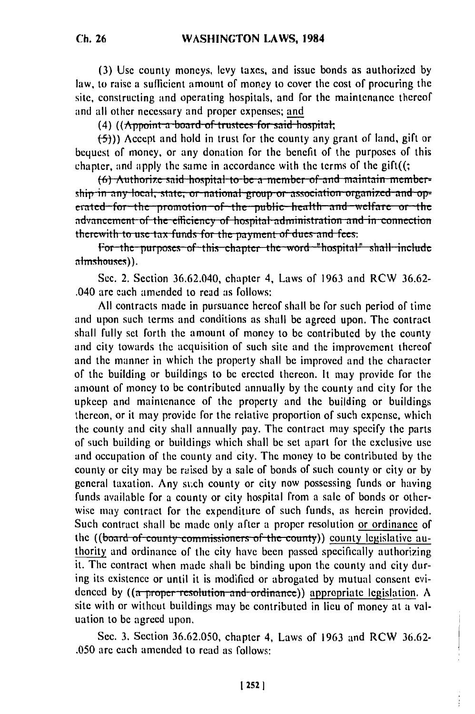(3) Use county moneys, levy taxes, and issue bonds as authorized by law, to raise a sufficient amount of money to cover the cost of procuring the site, constructing and operating hospitals, and for the maintenance thereof and all other necessary and proper expenses; and

(4) ((Appoint a board of trustees for said hospital;

 $(5)$ )) Accept and hold in trust for the county any grant of land, gift or bequest of money, or any donation for the benefit of the purposes of this chapter, and apply the same in accordance with the terms of the  $g$ ift $(($ ;

(6) Authorize said hospital to be a member of and maintain membership in any local, state, or national group or association organized and operated for the promotion of the public health and welfare or the advancement of the efficiency of hospital administration and in connection therewith to use tax funds for the payment of dues and fees.

For the purposes of this chapter the word "hospital" shall include almshouses)).

Sec. 2. Section 36.62.040, chapter 4, Laws of 1963 and RCW 36.62-.040 are each amended to read as follows:

All contracts made in pursuance hereof shall be for such period of time and upon such terms and conditions as shall be agreed upon. The contract shall fully set forth the amount of money to be contributed by the county and city towards the acquisition of such site and the improvement thereof and the manner in which the property shall be improved and the character of the building or buildings to be erected thereon. It may provide for the amount of money to be contributed annually by the county and city for the upkeep and maintenance of the property and the building or buildings thereon, or it may provide for the relative proportion of such expense, which the county and city shall annually pay. The contract may specify the parts of such building or buildings which shall be set apart for the exclusive use and occupation of the county and city. The money to be contributed by the county or city may be raised by a sale of bonds of such county or city or by general taxation. Any such county or city now possessing funds or having funds available for a county or city hospital from a sale of bonds or otherwise may contract for the expenditure of such funds, as herein provided. Such contract shall be made only after a proper resolution or ordinance of the ((board of county commissioners of the county)) county legislative authority and ordinance of the city have been passed specifically authorizing it. The contract when made shall be binding upon the county and city during its existence or until it is modified or abrogated by mutual consent evidenced by  $((a$  proper-resolution-and-ordinance)) appropriate legislation. A site with or without buildings may be contributed in lieu of money at a valuation to be agreed upon.

Sec. 3. Section 36.62.050, chapter 4, Laws of 1963 and RCW 36.62-.050 are each amended to read as follows:

 $[252]$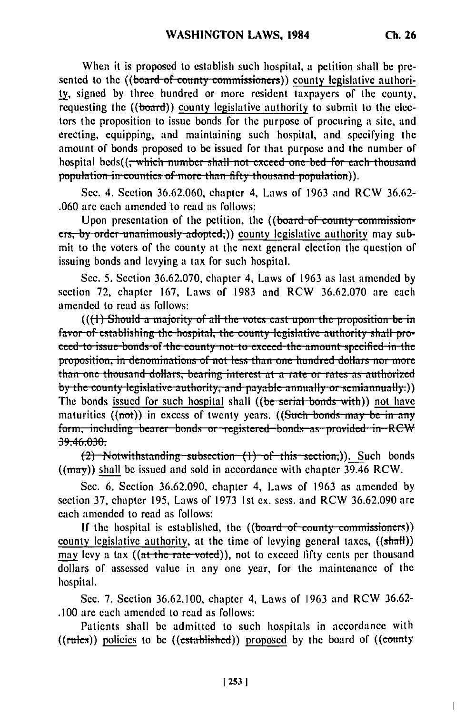$\overline{1}$ 

When it is proposed to establish such hospital, a petition shall be presented to the ((board of county commissioners)) county legislative authority, signed by three hundred or more resident taxpayers of the county, requesting the ((board)) county legislative authority to submit to the electors the proposition to issue bonds for the purpose of procuring a site, and erecting, equipping, and maintaining such hospital, and specifying the amount of bonds proposed to be issued for that purpose and the number of hospital beds((<del>, which number shall not exceed one bed for each thousand</del> population in counties of more than fifty thousand population)).

Sec. 4. Section 36.62.060, chapter 4, Laws of 1963 and RCW 36.62-.060 are each amended to read as follows:

Unon presentation of the petition, the ((board of county commissioners, by order unanimously adopted;)) county legislative authority may submit to the voters of the county at the next general election the question of issuing bonds and levying a tax for such hospital.

Sec. 5. Section 36.62.070, chapter 4, Laws of 1963 as last amended by section 72, chapter 167, Laws of 1983 and RCW 36.62.070 are each amended to read as follows:

(((1) Should a majority of all the votes cast upon the proposition be in favor of establishing the hospital, the county legislative authority shall proceed to issue bonds of the county not to exceed the amount specified in the proposition, in denominations of not less than one hundred dollars nor more than one thousand dollars, bearing interest at a rate or rates as authorized by the county legislative authority, and payable annually or semiannually.)) The bonds issued for such hospital shall ((be serial bonds with)) not have maturities  $((not))$  in excess of twenty years.  $((Such-bonds may be-in any$ form, including bearer bonds or registered bonds as provided in RCW 39.46.030.

 $(2)$  Notwithstanding subsection  $(1)$  of this section;)). Such bonds  $((\text{may}))$  shall be issued and sold in accordance with chapter 39.46 RCW.

Sec. 6. Section 36.62.090, chapter 4, Laws of 1963 as amended by section 37, chapter 195, Laws of 1973 1st ex. sess. and RCW 36.62.090 are each amended to read as follows:

If the hospital is established, the  $((board-of-county commissioners))$ county legislative authority, at the time of levying general taxes, ((shall)) may levy a tax ((at the rate-voted)), not to exceed fifty cents per thousand dollars of assessed value in any one year, for the maintenance of the hospital.

Sec. 7. Section 36.62.100, chapter 4, Laws of 1963 and RCW 36.62-.100 are each amended to read as follows:

Patients shall be admitted to such hospitals in accordance with  $((rules))$  policies to be  $((established))$  proposed by the board of  $((county)$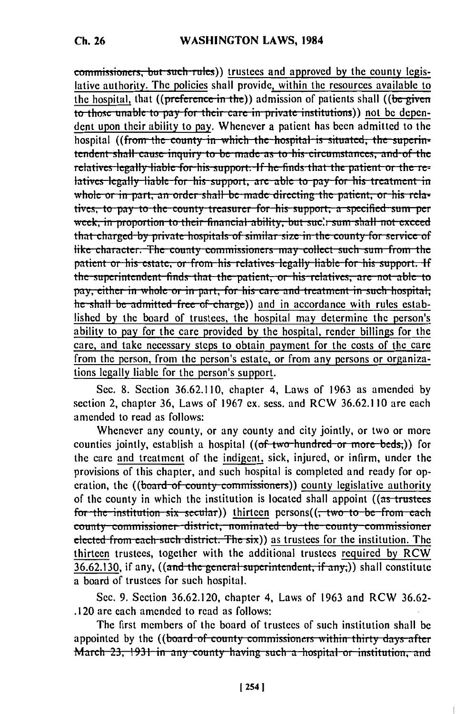commissioners, but such rules)) trustees and approved by the county legislative authority. The policies shall provide, within the resources available to the hospital, that  $((\text{preference in the}))$  admission of patients shall  $((\text{be given})$ to those unable to pay for their care in private institutions)) not be dependent upon their ability to pay. Whenever a patient has been admitted to the hospital ((from the county in which the hospital is situated, the superintendent shall cause inquiry to be made as to his circumstances, and of the relatives legally liable for his support. If he finds that the patient or the relatives legally liable for his support, are able to pay for his treatment in whole or in part, an order shall be made directing the patient, or his relatives, to pay to the county treasurer for his support, a specified sum per week, in proportion to their financial ability, but sucly sum shall not exceed that charged by private hospitals of similar size in the county for service of like character. The county commissioners may collect such sum from the patient or his estate, or from his relatives legally liable for his support. If the superintendent finds that the patient, or his relatives, are not able to pay, either in whole or in part, for his care and treatment in such hospital, he shall be admitted free of charge)) and in accordance with rules established by the board of trustees, the hospital may determine the person's ability to pay for the care provided by the hospital, render billings for the care, and take necessary steps to obtain payment for the costs of the care from the person, from the person's estate, or from any persons or organizations legally liable for the person's support.

Sec. 8. Section 36.62.110, chapter 4, Laws of 1963 as amended by section 2, chapter 36, Laws of 1967 ex. sess. and RCW 36.62.110 are each amended to read as follows:

Whenever any county, or any county and city jointly, or two or more counties jointly, establish a hospital ((of two hundred or more beds.)) for the care and treatment of the indigent, sick, injured, or infirm, under the provisions of this chapter, and such hospital is completed and ready for operation, the ((board of county commissioners)) county legislative authority of the county in which the institution is located shall appoint ((as trustees for the institution six secular)) thirteen persons((, two to be from each county commissioner district, nominated by the county commissioner elected from each such district. The six)) as trustees for the institution. The thirteen trustees, together with the additional trustees required by RCW  $\overline{36.62.130}$ , if any, ((and the general superintendent, if any,)) shall constitute a board of trustees for such hospital.

Sec. 9. Section 36.62.120, chapter 4, Laws of 1963 and RCW 36.62-.120 are each amended to read as follows:

The first members of the board of trustees of such institution shall be appointed by the ((board of county commissioners within thirty days after March 23, 1931 in any county having such a hospital or institution, and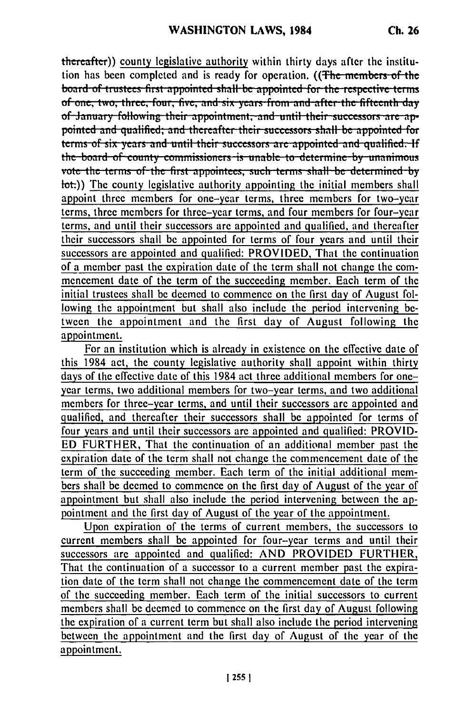thereafter)) county legislative authority within thirty days after the institution has been completed and is ready for operation. ((The members of the board of trustees first appointed shall be appointed for the respective terms of one, two, three, four, five, and six years from and after the fifteenth day of January following their appointment, and until their successors are appointed and qualified; and thereafter their successors shall be appointed for<br>terms of six years and until their successors are appointed and qualified. If the board of county commissioners is unable to determine by unanimous vote the terms of the first appointees, such terms shall be determined by lot.)) The county legislative authority appointing the initial members shall appoint three members for one-year terms, three members for two-year terms, three members for three-year terms, and four members for four-year terms, and until their successors are appointed and qualified, and thereafter their successors shall be appointed for terms of four years and until their successors are appointed and qualified: PROVIDED, That the continuation of a member past the expiration date of the term shall not change the commencement date of the term of the succeeding member. Each term of the initial trustees shall be deemed to commence on the first day of August following the appointment but shall also include the period intervening between the appointment and the first day of August following the appointment.

For an institution which is already in existence on the effective date of this 1984 act, the county legislative authority shall appoint within thirty days of the effective date of this 1984 act three additional members for oneyear terms, two additional members for two-year terms, and two additional members for three-year terms, and until their successors arc appointed and qualified, and thereafter their successors shall be appointed for terms of four years and until their successors are appointed and qualified: PROVID-ED FURTHER, That the continuation of an additional member past the expiration date of the term shall not change the commencement date of the term of the succeeding member. Each term of the initial additional members shall be deemed to commence on the first day of August of the year of appointment but shall also include the period intervening between the appointment and the first day of August of the year of the appointment.

Upon expiration of the terms of current members, the successors to current members shall be appointed for four-year terms and until their successors are appointed and qualified: AND PROVIDED FURTHER, That the continuation of a successor to a current member past the expiration date of the term shall not change the commencement date of the term of the succeeding member. Each term of the initial successors to current members shall be deemed to commence on the first day of August following the expiration of a current term but shall also include the period intervening between the appointment and the first day of August of the year of the appointment.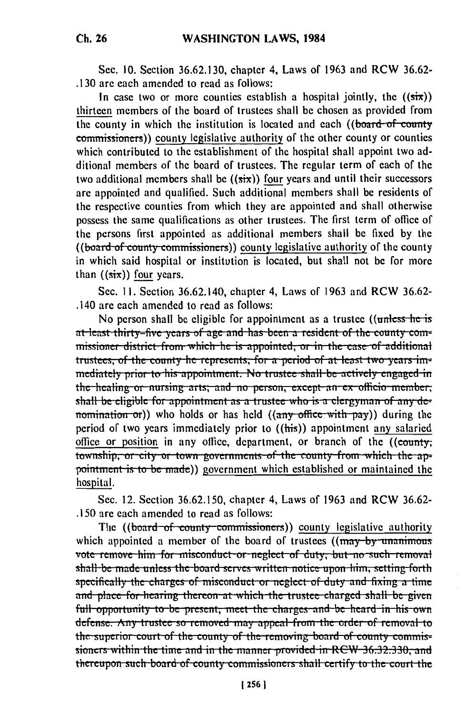Sec. 10. Section 36.62.130, chapter 4, Laws of 1963 and RCW 36.62-.130 are each amended to read as follows:

In case two or more counties establish a hospital jointly, the  $((\sin))$ thirteen members of the board of trustees shall be chosen as provided from the county in which the institution is located and each ((board of county commissioners)) county legislative authority of the other county or counties which contributed to the establishment of the hospital shall appoint two additional members of the board of trustees. The regular term of each of the two additional members shall be  $((six))$  four years and until their successors are appointed and qualified. Such additional members shall be residents of the respective counties from which they are appointed and shall otherwise possess the same qualifications as other trustees. The first term of office of the persons first appointed as additional members shall be fixed by the ((board of county commissioners)) county legislative authority of the county in which said hospital or institution is located, but shall not be for more than  $((six))$  four years.

Sec. 11. Section 36.62.140, chapter 4, Laws of 1963 and RCW 36.62-.140 are each amended to read as follows:

No person shall be eligible for appointment as a trustee ((unless he is at least thirty-five years of age and has been a resident of the county commissioner district from which he is appointed, or in the case of additional trustees, of the county he represents, for a period of at least two vears immediately prior to his appointment. No trustee shall be actively engaged in the healing or nursing arts; and no person, except an ex officio member; shall be eligible for appointment as a trustee who is a clergyman of any denomination or)) who holds or has held  $((any \text{ office with } pay))$  during the period of two years immediately prior to  $((\overline{\text{his}}))$  appointment any salaried office or position in any office, department, or branch of the ((county, township, or city or town governments of the county from which the appointment is to be made)) government which established or maintained the hospital.

Sec. 12. Section 36.62.150, chapter 4, Laws of 1963 and RCW 36.62-.150 are each amended to read as follows:

The ((board of county commissioners)) county legislative authority which appointed a member of the board of trustees ((may by unanimous vote remove him for misconduct or neglect of duty, but no such removal shall be made unless the board serves written notice upon him, setting forth specifically the charges of misconduct or neglect of duty and fixing a time and place for hearing thereon at which the trustee charged shall be given full opportunity to be present, meet the charges and be heard in his own defense. Any trustee so removed may appeal from the order of removal to the superior court of the county of the removing board of county commissioners within the time and in the manner provided in RCW 36.32.330, and thereupon such board of county commissioners shall certify to the court the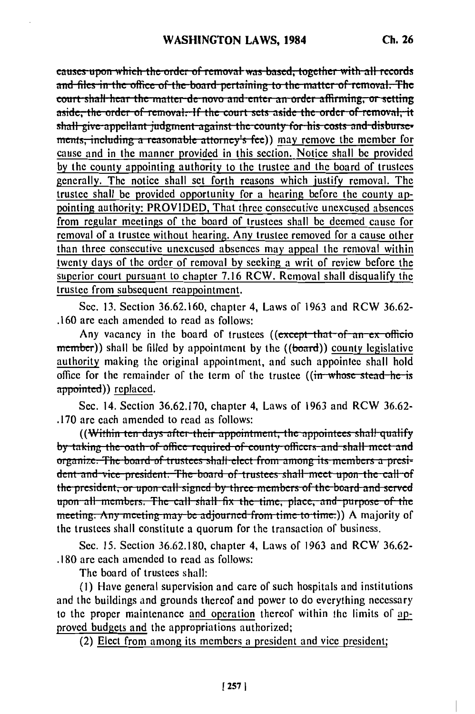causes upon which the order of removal was based, together with all records and files in the office of the board pertaining to the matter of removal. The court-shall-hear the matter-de-novo and enter an order affirming, or setting aside, the order of removal. If the court sets aside the order of removal, it shall give appellant judgment against the county for his costs and disbursements, including a reasonable attorney's fee)) may remove the member for cause and in the manner provided in this section. Notice shall be provided by the county appointing authority to the trustee and the board of trustees generally. The notice shall set forth reasons which justify removal. The trustee shall be provided opportunity for a hearing before the county appointing authority: PROVIDED, That three consecutive unexcused absences from regular meetings of the board of trustees shall be deemed cause for removal of a trustee without hearing. Any trustee removed for a cause other than three consecutive unexcused absences may appeal the removal within twenty days of the order of removal by seeking a writ of review before the superior court pursuant to chapter 7.16 RCW. Removal shall disqualify the trustee from subsequent reappointment.

Sec. 13. Section 36.62.160, chapter 4, Laws of 1963 and RCW 36.62-.160 are each amended to read as follows:

Any vacancy in the board of trustees ((except that of an ex officio member)) shall be filled by appointment by the ((board)) county legislative authority making the original appointment, and such appointee shall hold office for the remainder of the term of the trustee ((in whose stead he is appointed)) replaced.

Sec. 14. Section 36.62.170, chapter 4, Laws of 1963 and RCW 36.62-.170 are each amended to read as follows:

((Within ten days after their appointment, the appointees shall qualify by taking the oath of office required of county officers and shall meet and organize. The board of trustees shall elect from among its members a president and vice president. The board of trustees shall meet upon the call of the president, or upon call signed by three members of the board and served upon all members. The call shall fix the time, place, and purpose of the meeting. Any meeting may be adjourned from time to time.)) A majority of the trustees shall constitute a quorum for the transaction of business.

Sec. 15. Section 36.62.180, chapter 4, Laws of 1963 and RCW 36.62-.180 are each amended to read as follows:

The board of trustees shall:

(1) Have general supervision and care of such hospitals and institutions and the buildings and grounds thereof and power to do everything necessary to the proper maintenance and operation thereof within the limits of approved budgets and the appropriations authorized;

(2) Elect from among its members a president and vice president;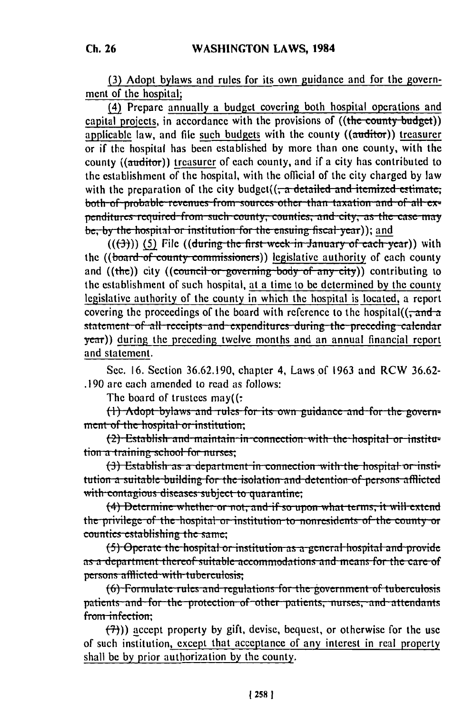(3) Adopt bylaws and rules for its own guidance and for the government of the hospital;

(4) Prepare annually a budget covering both hospital operations and capital projects, in accordance with the provisions of  $((the count y - budget))$ applicable law, and file such budgets with the county  $((\text{autitor}))$  treasurer or if the hospital has been established by more than one county, with the county ((auditor)) treasurer of each county, and if a city has contributed to the establishment of the hospital, with the official of the city charged by law with the preparation of the city budget( $\left(\frac{1}{x} + \frac{1}{x}\right)$  and itemized estimate; both of probable revenues from sources other than taxation and of all expenditures required from such county, counties, and city, as the case may be, by the hospital or institution for the ensuing fiscal year)); and

 $((3))$  (5) File ((during the first week in January of each year)) with the ((board of county commissioners)) legislative authority of each county and  $((the))$  city  $((count or governing body of any city))$  contributing to the establishment of such hospital, at a time to be determined by the county legislative authority of the county in which the hospital is located, a report covering the proceedings of the board with reference to the hospital( $(\tau$  and a statement of all receipts and expenditures during the preceding calendar year)) during the preceding twelve months and an annual financial report and statement.

Sec. 16. Section 36.62.190, chapter 4, Laws of 1963 and RCW 36.62-.190 are each amended to read as follows:

The board of trustees  $may(t)$ :

(1) Adopt bylaws and rules for its own guidance and for the government of the hospital or institution;

(2) Establish and maintain in connection with the hospital or institution a training school for nurses;

(3) Establish as a department in connection with the hospital or institution a suitable building for the isolation and detention of persons afflicted with contagious diseases subject to quarantine;

(4) Determine whether or not, and if so upon what terms, it will extend the privilege of the hospital or institution to nonresidents of the county or counties establishing the same;

(5) Operate the hospital or institution as a general hospital and provide as a department thereof suitable accommodations and means for the care of persons afflicted with tuberculosis;

(6) Formulate rules and regulations for the government of tuberculosis patients and for the protection of other patients, nurses, and attendants from infection:

 $(7)$ )) accept property by gift, devise, bequest, or otherwise for the use of such institution, except that acceptance of any interest in real property shall be by prior authorization by the county.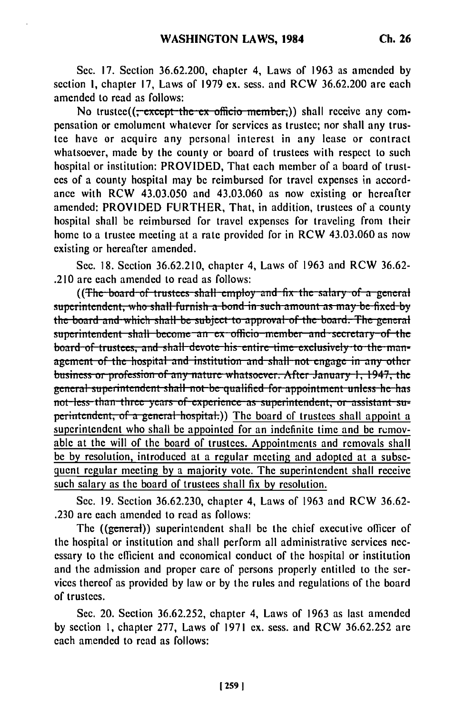Sec. 17. Section 36.62.200, chapter 4, Laws of 1963 as amended by section 1, chapter 17, Laws of 1979 ex. sess. and RCW 36.62.200 are each amended to read as follows:

No trustee((<del>; except the ex officio member.</del>)) shall receive any compensation or emolument whatever for services as trustee; nor shall any trustee have or acquire any personal interest in any lease or contract whatsoever, made by the county or board of trustees with respect to such hospital or institution: PROVIDED, That each member of a board of trustees of a county hospital may be reimbursed for travel expenses in accordance with RCW 43.03.050 and 43.03.060 as now existing or hereafter amended: PROVIDED FURTHER, That, in addition, trustees of a county hospital shall be reimbursed for travel expenses for traveling from their home to a trustee meeting at a rate provided for in RCW 43.03.060 as now existing or hereafter amended.

Sec. 18. Section 36.62.210, chapter 4, Laws of 1963 and RCW 36.62-.210 are each amended to read as follows:

((The board of trustees shall employ and fix the salary of a general superintendent, who shall furnish a bond in such amount as may be fixed by the board and which shall be subject to approval of the board. The general superintendent shall become an ex officio member and secretary of the board of trustees, and shall devote his entire time exclusively to the management of the hospital and institution and shall not engage in any other business or profession of any nature whatsoever. After January 1, 1947, the general superintendent shall not be qualified for appointment unless he has not less than three years of experience as superintendent, or assistant superintendent, of a general hospital.) The board of trustees shall appoint a superintendent who shall be appointed for an indefinite time and be removable at the will of the board of trustees. Appointments and removals shall be by resolution, introduced at a regular meeting and adopted at a subsequent regular meeting by a majority vote. The superintendent shall receive such salary as the board of trustees shall fix by resolution.

Sec. 19. Section 36.62.230, chapter 4, Laws of 1963 and RCW 36.62-.230 are each amended to read as follows:

The ((general)) superintendent shall be the chief executive officer of the hospital or institution and shall perform all administrative services necessary to the efficient and economical conduct of the hospital or institution and the admission and proper care of persons properly entitled to the services thereof as provided by law or by the rules and regulations of the board of trustees.

Sec. 20. Section 36.62.252, chapter 4, Laws of 1963 as last amended by section 1, chapter 277, Laws of 1971 ex. sess. and RCW 36.62.252 are each amended to read as follows: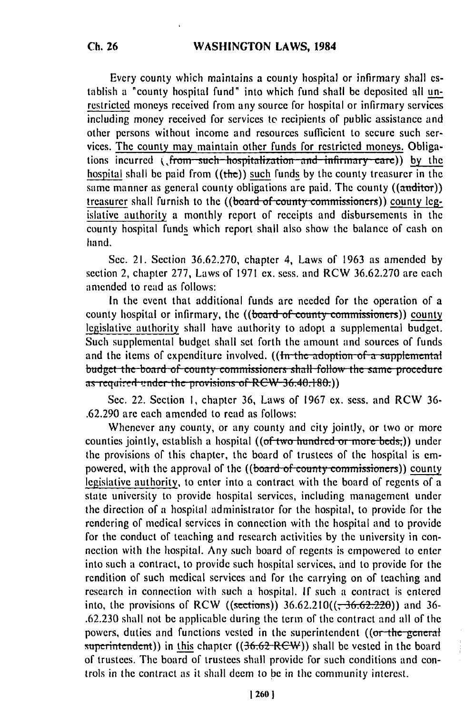Every county which maintains a county hospital or infirmary shall establish a "county hospital fund" into which fund shall **be** deposited **all** unrestricted moneys received from any source for hospital or infirmary services including money received for services to recipients of public assistance and other persons without income and resources sufficient to secure such services. The county may maintain other funds for restricted moneys. Obligations incurred (, from such hospitalization and infirmary care)) by the hospital shall be paid from ((the)) such funds **by** the county treasurer in the same manner as general county obligations are paid. The county  $((\text{anditor}))$ treasurer shall furnish to the ((board of county commissioners)) county legislative authority a monthly report of receipts and disbursements in the county hospital funds which report shall also show the balance of cash on hand.

Sec. 21. Section 36.62.270, chapter 4, Laws of 1963 as amended by section 2, chapter 277, Laws of 1971 ex. sess. and RCW 36.62.270 are each amended to read as follows:

In the event that additional funds are needed for the operation of a county hospital or infirmary, the ((board of county commissioners)) county legislative authority shall have authority to adopt a supplemental budget. Such supplemental budget shall set forth the amount and sources of funds and the items of expenditure involved. **((In the adoption of a supplemental** me the items of expenditure involved. ((<del>in the adoption of a supplemental</del> budget the board of county commissioners shall follow the same procedure.<br>as required under the provisions of RCW 36.40.180.))

Sec. 22. Section **I,** chapter **36,** Laws of 1967 ex. sess. and RCW 36- .62.290 are each amended to read as follows:

Whenever any county, or any county and city jointly, or two or more counties jointly, establish a hospital ((of two hundred or more beds;)) under the provisions of this chapter, the board of trustees of the hospital is empowered, with the approval of the ((board of county commissioners)) county legislative authority, to enter into a contract with the board of regents of a state university to provide hospital services, including management under the direction of a hospital administrator for the hospital, to provide for the rendering of medical services in connection with the hospital and to provide for the conduct of teaching and research activities by the university in connection with the hospital. Any such board of regents is empowered to enter into such a contract, to provide such hospital services, and to provide for the rendition of such medical services and for the carrying on of teaching and research in connection with such a hospital. **If** such a contract is entered into, the provisions of RCW ((sections))  $36.62.210((\frac{1}{26.62.220}))$  and 36-.62.230 shall not be applicable during the term of the contract and all of the powers, duties and functions vested in the superintendent  $($  (or the general superintendent)) in this chapter ((36.62 RCW)) shall be vested in the board of trustees. The board of trustees shall provide for such conditions and controls in the contract as it shall deem to **be** in the community interest.